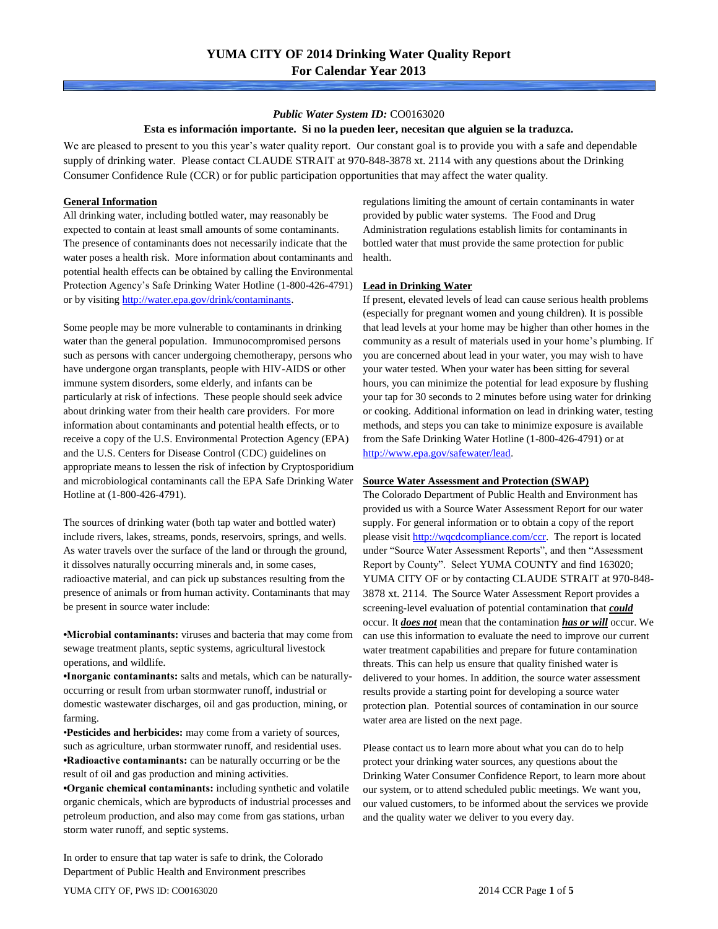### *Public Water System ID:* CO0163020

### **Esta es información importante. Si no la pueden leer, necesitan que alguien se la traduzca.**

We are pleased to present to you this year's water quality report. Our constant goal is to provide you with a safe and dependable supply of drinking water. Please contact CLAUDE STRAIT at 970-848-3878 xt. 2114 with any questions about the Drinking Consumer Confidence Rule (CCR) or for public participation opportunities that may affect the water quality.

### **General Information**

All drinking water, including bottled water, may reasonably be expected to contain at least small amounts of some contaminants. The presence of contaminants does not necessarily indicate that the water poses a health risk. More information about contaminants and potential health effects can be obtained by calling the Environmental Protection Agency's Safe Drinking Water Hotline (1-800-426-4791) or by visiting [http://water.epa.gov/drink/contaminants.](http://water.epa.gov/drink/contaminants)

Some people may be more vulnerable to contaminants in drinking water than the general population. Immunocompromised persons such as persons with cancer undergoing chemotherapy, persons who have undergone organ transplants, people with HIV-AIDS or other immune system disorders, some elderly, and infants can be particularly at risk of infections. These people should seek advice about drinking water from their health care providers. For more information about contaminants and potential health effects, or to receive a copy of the U.S. Environmental Protection Agency (EPA) and the U.S. Centers for Disease Control (CDC) guidelines on appropriate means to lessen the risk of infection by Cryptosporidium and microbiological contaminants call the EPA Safe Drinking Water Hotline at (1-800-426-4791).

The sources of drinking water (both tap water and bottled water) include rivers, lakes, streams, ponds, reservoirs, springs, and wells. As water travels over the surface of the land or through the ground, it dissolves naturally occurring minerals and, in some cases, radioactive material, and can pick up substances resulting from the presence of animals or from human activity. Contaminants that may be present in source water include:

**•Microbial contaminants:** viruses and bacteria that may come from sewage treatment plants, septic systems, agricultural livestock operations, and wildlife.

**•Inorganic contaminants:** salts and metals, which can be naturallyoccurring or result from urban stormwater runoff, industrial or domestic wastewater discharges, oil and gas production, mining, or farming.

•**Pesticides and herbicides:** may come from a variety of sources, such as agriculture, urban stormwater runoff, and residential uses. **•Radioactive contaminants:** can be naturally occurring or be the result of oil and gas production and mining activities.

**•Organic chemical contaminants:** including synthetic and volatile organic chemicals, which are byproducts of industrial processes and petroleum production, and also may come from gas stations, urban storm water runoff, and septic systems.

In order to ensure that tap water is safe to drink, the Colorado Department of Public Health and Environment prescribes

regulations limiting the amount of certain contaminants in water provided by public water systems. The Food and Drug Administration regulations establish limits for contaminants in bottled water that must provide the same protection for public health.

### **Lead in Drinking Water**

If present, elevated levels of lead can cause serious health problems (especially for pregnant women and young children). It is possible that lead levels at your home may be higher than other homes in the community as a result of materials used in your home's plumbing. If you are concerned about lead in your water, you may wish to have your water tested. When your water has been sitting for several hours, you can minimize the potential for lead exposure by flushing your tap for 30 seconds to 2 minutes before using water for drinking or cooking. Additional information on lead in drinking water, testing methods, and steps you can take to minimize exposure is available from the Safe Drinking Water Hotline (1-800-426-4791) or at [http://www.epa.gov/safewater/lead.](http://www.epa.gov/safewater/lead) 

#### **Source Water Assessment and Protection (SWAP)**

The Colorado Department of Public Health and Environment has provided us with a Source Water Assessment Report for our water supply. For general information or to obtain a copy of the report please visit [http://wqcdcompliance.com/ccr.](http://wqcdcompliance.com/ccr) The report is located under "Source Water Assessment Reports", and then "Assessment Report by County". Select YUMA COUNTY and find 163020; YUMA CITY OF or by contacting CLAUDE STRAIT at 970-848- 3878 xt. 2114. The Source Water Assessment Report provides a screening-level evaluation of potential contamination that *could* occur. It *does not* mean that the contamination *has or will* occur. We can use this information to evaluate the need to improve our current water treatment capabilities and prepare for future contamination threats. This can help us ensure that quality finished water is delivered to your homes. In addition, the source water assessment results provide a starting point for developing a source water protection plan. Potential sources of contamination in our source water area are listed on the next page.

Please contact us to learn more about what you can do to help protect your drinking water sources, any questions about the Drinking Water Consumer Confidence Report, to learn more about our system, or to attend scheduled public meetings. We want you, our valued customers, to be informed about the services we provide and the quality water we deliver to you every day.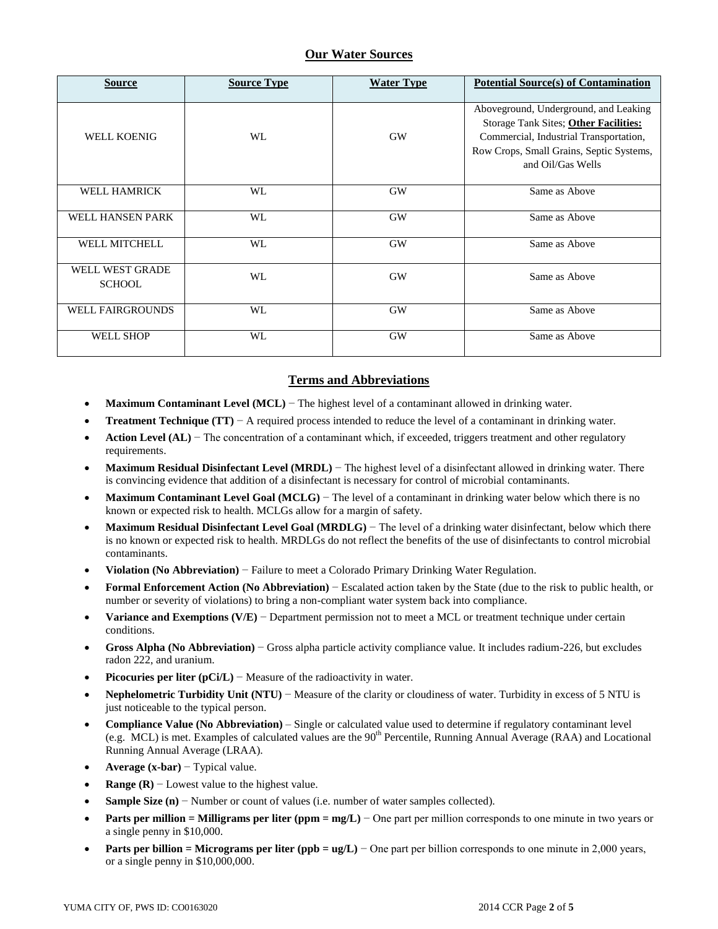## **Our Water Sources**

| <b>Source</b>                    | <b>Source Type</b> | <b>Water Type</b> | <b>Potential Source(s) of Contamination</b>                                                                                                                                               |
|----------------------------------|--------------------|-------------------|-------------------------------------------------------------------------------------------------------------------------------------------------------------------------------------------|
| <b>WELL KOENIG</b>               | WL                 | <b>GW</b>         | Aboveground, Underground, and Leaking<br>Storage Tank Sites; Other Facilities:<br>Commercial, Industrial Transportation,<br>Row Crops, Small Grains, Septic Systems,<br>and Oil/Gas Wells |
| <b>WELL HAMRICK</b>              | WL                 | <b>GW</b>         | Same as Above                                                                                                                                                                             |
| WELL HANSEN PARK                 | WL                 | <b>GW</b>         | Same as Above                                                                                                                                                                             |
| <b>WELL MITCHELL</b>             | WL                 | <b>GW</b>         | Same as Above                                                                                                                                                                             |
| WELL WEST GRADE<br><b>SCHOOL</b> | WL                 | <b>GW</b>         | Same as Above                                                                                                                                                                             |
| <b>WELL FAIRGROUNDS</b>          | WL                 | <b>GW</b>         | Same as Above                                                                                                                                                                             |
| <b>WELL SHOP</b>                 | WL                 | <b>GW</b>         | Same as Above                                                                                                                                                                             |

# **Terms and Abbreviations**

- **Maximum Contaminant Level (MCL)** − The highest level of a contaminant allowed in drinking water.
- **Treatment Technique (TT)**  $A$  required process intended to reduce the level of a contaminant in drinking water.
- **Action Level (AL)** − The concentration of a contaminant which, if exceeded, triggers treatment and other regulatory requirements.
- **Maximum Residual Disinfectant Level (MRDL)** − The highest level of a disinfectant allowed in drinking water. There is convincing evidence that addition of a disinfectant is necessary for control of microbial contaminants.
- **Maximum Contaminant Level Goal (MCLG)** − The level of a contaminant in drinking water below which there is no known or expected risk to health. MCLGs allow for a margin of safety.
- **Maximum Residual Disinfectant Level Goal (MRDLG)** − The level of a drinking water disinfectant, below which there is no known or expected risk to health. MRDLGs do not reflect the benefits of the use of disinfectants to control microbial contaminants.
- **Violation (No Abbreviation)** − Failure to meet a Colorado Primary Drinking Water Regulation.
- **Formal Enforcement Action (No Abbreviation)** − Escalated action taken by the State (due to the risk to public health, or number or severity of violations) to bring a non-compliant water system back into compliance.
- **Variance and Exemptions (V/E)** − Department permission not to meet a MCL or treatment technique under certain conditions.
- **Gross Alpha (No Abbreviation)** − Gross alpha particle activity compliance value. It includes radium-226, but excludes radon 222, and uranium.
- **Picocuries per liter (pCi/L)** − Measure of the radioactivity in water.
- **Nephelometric Turbidity Unit (NTU)** − Measure of the clarity or cloudiness of water. Turbidity in excess of 5 NTU is just noticeable to the typical person.
- **Compliance Value (No Abbreviation)** Single or calculated value used to determine if regulatory contaminant level (e.g. MCL) is met. Examples of calculated values are the  $90<sup>th</sup>$  Percentile, Running Annual Average (RAA) and Locational Running Annual Average (LRAA).
- **Average (x-bar)** − Typical value.
- **Range (R)**  $-$  Lowest value to the highest value.
- **Sample Size (n)** − Number or count of values (i.e. number of water samples collected).
- **Parts per million = Milligrams per liter (ppm = mg/L)** − One part per million corresponds to one minute in two years or a single penny in \$10,000.
- **Parts per billion = Micrograms per liter (ppb = ug/L)** − One part per billion corresponds to one minute in 2,000 years, or a single penny in \$10,000,000.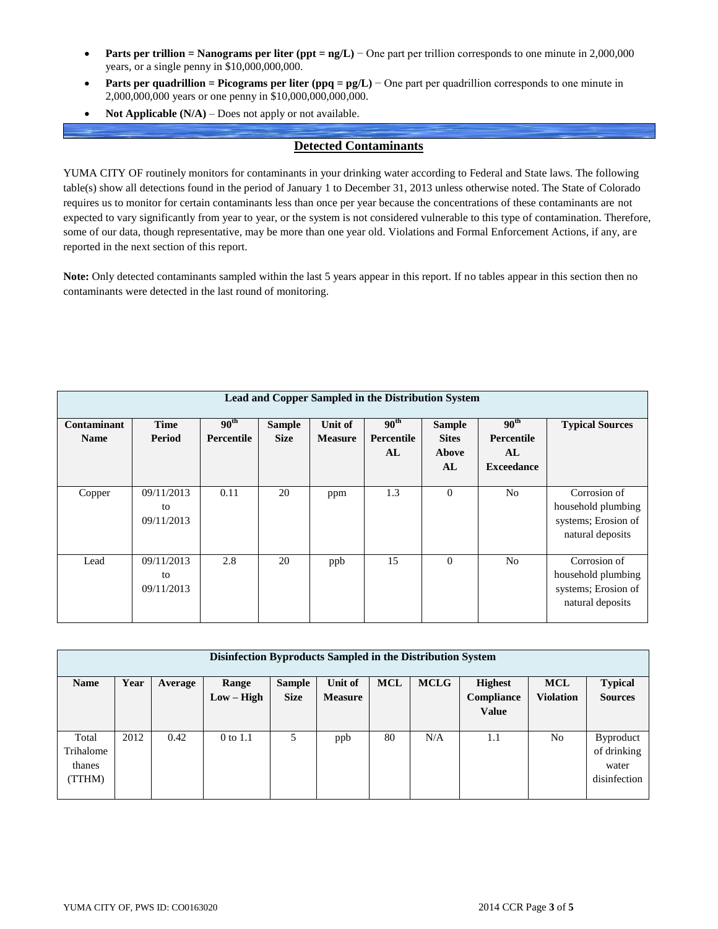- **Parts per trillion = Nanograms per liter (ppt = ng/L)** − One part per trillion corresponds to one minute in 2,000,000 years, or a single penny in \$10,000,000,000.
- **Parts per quadrillion = Picograms per liter (ppq = pg/L)** − One part per quadrillion corresponds to one minute in 2,000,000,000 years or one penny in \$10,000,000,000,000.
- **Not Applicable (N/A)** Does not apply or not available.

### **Detected Contaminants**

YUMA CITY OF routinely monitors for contaminants in your drinking water according to Federal and State laws. The following table(s) show all detections found in the period of January 1 to December 31, 2013 unless otherwise noted. The State of Colorado requires us to monitor for certain contaminants less than once per year because the concentrations of these contaminants are not expected to vary significantly from year to year, or the system is not considered vulnerable to this type of contamination. Therefore, some of our data, though representative, may be more than one year old. Violations and Formal Enforcement Actions, if any, are reported in the next section of this report.

**Note:** Only detected contaminants sampled within the last 5 years appear in this report. If no tables appear in this section then no contaminants were detected in the last round of monitoring.

| Lead and Copper Sampled in the Distribution System |                                |                                    |                              |                           |                                   |                                                     |                                                           |                                                                               |  |  |
|----------------------------------------------------|--------------------------------|------------------------------------|------------------------------|---------------------------|-----------------------------------|-----------------------------------------------------|-----------------------------------------------------------|-------------------------------------------------------------------------------|--|--|
| Contaminant<br><b>Name</b>                         | <b>Time</b><br>Period          | $90^{\rm th}$<br><b>Percentile</b> | <b>Sample</b><br><b>Size</b> | Unit of<br><b>Measure</b> | $90^{\rm th}$<br>Percentile<br>AL | <b>Sample</b><br><b>Sites</b><br><b>Above</b><br>AL | 90 <sup>th</sup><br>Percentile<br>AL<br><b>Exceedance</b> | <b>Typical Sources</b>                                                        |  |  |
| Copper                                             | 09/11/2013<br>to<br>09/11/2013 | 0.11                               | 20                           | ppm                       | 1.3                               | $\theta$                                            | N <sub>0</sub>                                            | Corrosion of<br>household plumbing<br>systems; Erosion of<br>natural deposits |  |  |
| Lead                                               | 09/11/2013<br>to<br>09/11/2013 | 2.8                                | 20                           | ppb                       | 15                                | $\theta$                                            | N <sub>0</sub>                                            | Corrosion of<br>household plumbing<br>systems; Erosion of<br>natural deposits |  |  |

| Disinfection Byproducts Sampled in the Distribution System |      |         |              |               |                |            |             |                |                  |                  |  |
|------------------------------------------------------------|------|---------|--------------|---------------|----------------|------------|-------------|----------------|------------------|------------------|--|
| <b>Name</b>                                                | Year | Average | Range        | <b>Sample</b> | Unit of        | <b>MCL</b> | <b>MCLG</b> | <b>Highest</b> | <b>MCL</b>       | <b>Typical</b>   |  |
|                                                            |      |         | $Low - High$ | <b>Size</b>   | <b>Measure</b> |            |             | Compliance     | <b>Violation</b> | <b>Sources</b>   |  |
|                                                            |      |         |              |               |                |            |             | <b>Value</b>   |                  |                  |  |
| Total                                                      | 2012 | 0.42    | 0 to 1.1     | 5             | ppb            | 80         | N/A         | 1.1            | No               | <b>Byproduct</b> |  |
| Trihalome                                                  |      |         |              |               |                |            |             |                |                  | of drinking      |  |
| thanes                                                     |      |         |              |               |                |            |             |                |                  | water            |  |
| (TTHM)                                                     |      |         |              |               |                |            |             |                |                  | disinfection     |  |
|                                                            |      |         |              |               |                |            |             |                |                  |                  |  |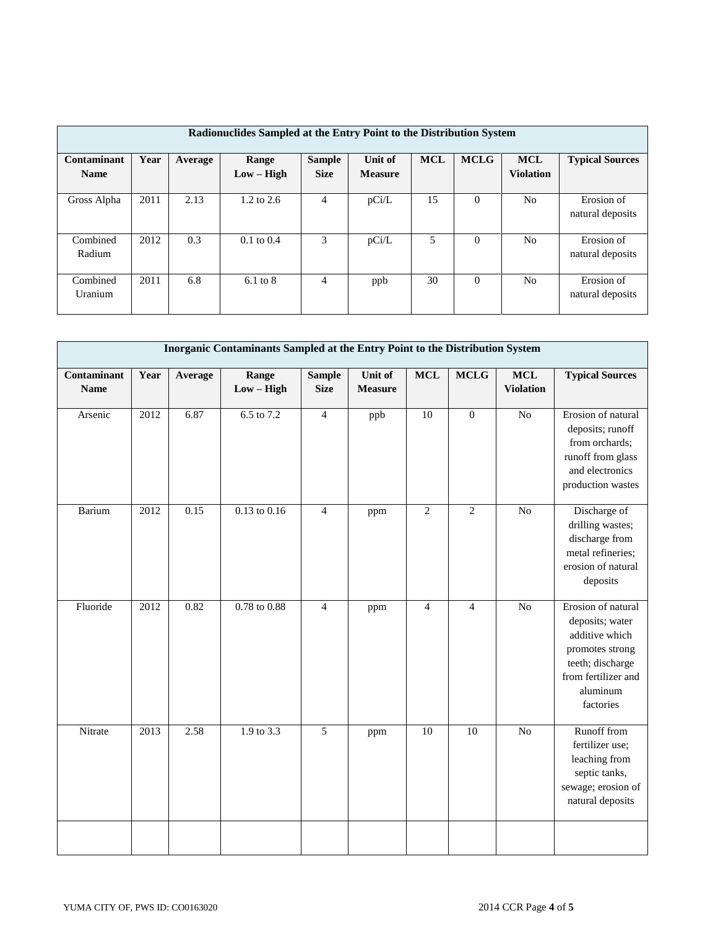| Radionuclides Sampled at the Entry Point to the Distribution System |      |         |                       |                              |                           |            |             |                                |                                |  |
|---------------------------------------------------------------------|------|---------|-----------------------|------------------------------|---------------------------|------------|-------------|--------------------------------|--------------------------------|--|
| Contaminant<br><b>Name</b>                                          | Year | Average | Range<br>$Low - High$ | <b>Sample</b><br><b>Size</b> | Unit of<br><b>Measure</b> | <b>MCL</b> | <b>MCLG</b> | <b>MCL</b><br><b>Violation</b> | <b>Typical Sources</b>         |  |
| Gross Alpha                                                         | 2011 | 2.13    | $1.2 \text{ to } 2.6$ | 4                            | pCi/L                     | 15         | $\Omega$    | No                             | Erosion of<br>natural deposits |  |
| Combined<br>Radium                                                  | 2012 | 0.3     | $0.1 \text{ to } 0.4$ | 3                            | pCi/L                     | 5          | $\Omega$    | N <sub>0</sub>                 | Erosion of<br>natural deposits |  |
| Combined<br>Uranium                                                 | 2011 | 6.8     | $6.1 \text{ to } 8$   | $\overline{4}$               | ppb                       | 30         | $\theta$    | No                             | Erosion of<br>natural deposits |  |

| Inorganic Contaminants Sampled at the Entry Point to the Distribution System |      |         |                       |                              |                           |                |                |                                |                                                                                                                                                |  |
|------------------------------------------------------------------------------|------|---------|-----------------------|------------------------------|---------------------------|----------------|----------------|--------------------------------|------------------------------------------------------------------------------------------------------------------------------------------------|--|
| Contaminant<br><b>Name</b>                                                   | Year | Average | Range<br>$Low - High$ | <b>Sample</b><br><b>Size</b> | Unit of<br><b>Measure</b> | <b>MCL</b>     | <b>MCLG</b>    | <b>MCL</b><br><b>Violation</b> | <b>Typical Sources</b>                                                                                                                         |  |
| Arsenic                                                                      | 2012 | 6.87    | $6.5 \text{ to } 7.2$ | $\overline{4}$               | ppb                       | 10             | $\overline{0}$ | N <sub>o</sub>                 | Erosion of natural<br>deposits; runoff<br>from orchards;<br>runoff from glass<br>and electronics<br>production wastes                          |  |
| Barium                                                                       | 2012 | 0.15    | $0.13$ to $0.16$      | $\overline{4}$               | ppm                       | $\overline{2}$ | $\overline{2}$ | $\overline{No}$                | Discharge of<br>drilling wastes;<br>discharge from<br>metal refineries;<br>erosion of natural<br>deposits                                      |  |
| Fluoride                                                                     | 2012 | 0.82    | $0.78$ to $0.88$      | $\overline{4}$               | ppm                       | $\overline{4}$ | $\overline{4}$ | N <sub>o</sub>                 | Erosion of natural<br>deposits; water<br>additive which<br>promotes strong<br>teeth; discharge<br>from fertilizer and<br>aluminum<br>factories |  |
| Nitrate                                                                      | 2013 | 2.58    | 1.9 to 3.3            | $\overline{5}$               | ppm                       | 10             | 10             | N <sub>o</sub>                 | Runoff from<br>fertilizer use;<br>leaching from<br>septic tanks,<br>sewage; erosion of<br>natural deposits                                     |  |
|                                                                              |      |         |                       |                              |                           |                |                |                                |                                                                                                                                                |  |